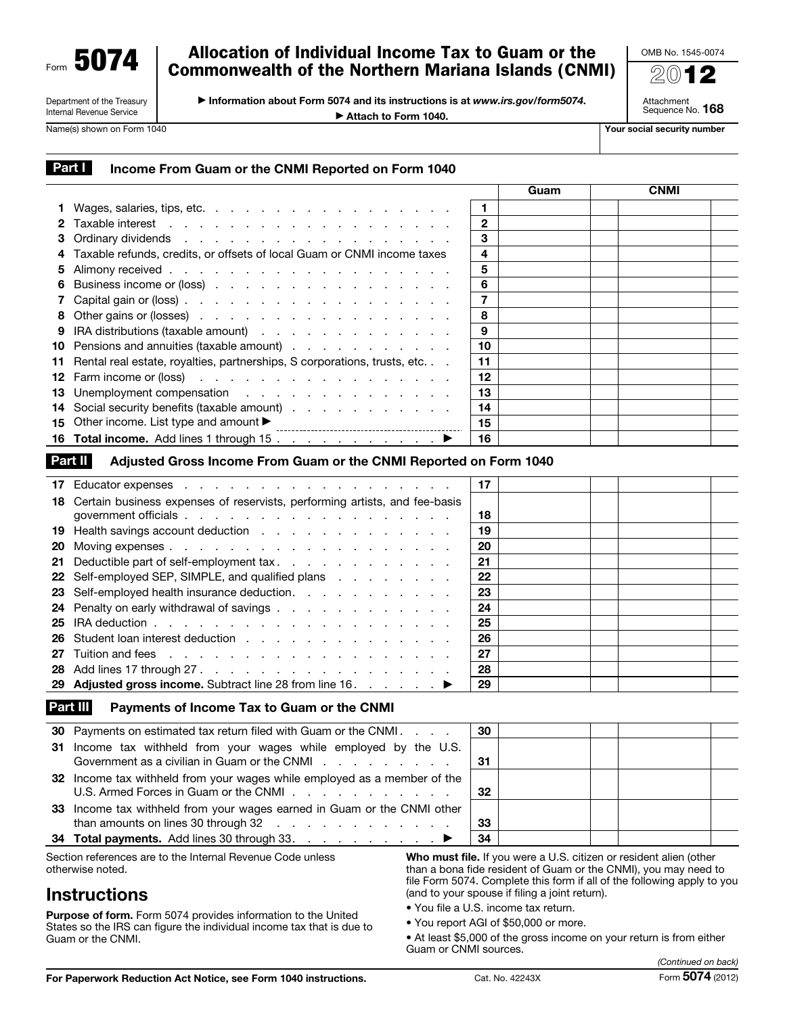Form 5074

#### Department of the Treasury Internal Revenue Service

## Allocation of Individual Income Tax to Guam or the Commonwealth of the Northern Mariana Islands (CNMI)

▶ Information about Form 5074 and its instructions is at *www.irs.gov/form5074*. ▶ Attach to Form 1040.

OMB No. 1545-0074 2012

Attachment Sequence No. 168

Name(s) shown on Form 1040 Your social security number

|--|--|

### ncome From Guam or the CNMI Reported on Form 1040

|                                                                                                |              | Guam | <b>CNMI</b> |  |
|------------------------------------------------------------------------------------------------|--------------|------|-------------|--|
|                                                                                                | $\mathbf{1}$ |      |             |  |
|                                                                                                | $\mathbf{2}$ |      |             |  |
|                                                                                                | 3            |      |             |  |
| 4 Taxable refunds, credits, or offsets of local Guam or CNMI income taxes                      | 4            |      |             |  |
|                                                                                                | 5            |      |             |  |
| 6 Business income or (loss)                                                                    | 6            |      |             |  |
|                                                                                                | 7            |      |             |  |
| 8 Other gains or (losses)                                                                      | 8            |      |             |  |
| 9 IRA distributions (taxable amount)                                                           | 9            |      |             |  |
| 10 Pensions and annuities (taxable amount)                                                     | 10           |      |             |  |
| 11 Rental real estate, royalties, partnerships, S corporations, trusts, etc.                   | 11           |      |             |  |
| <b>12</b> Farm income or (loss) $\ldots$ $\ldots$ $\ldots$ $\ldots$ $\ldots$ $\ldots$ $\ldots$ | 12           |      |             |  |
| 13 Unemployment compensation                                                                   | 13           |      |             |  |
| 14 Social security benefits (taxable amount)                                                   | 14           |      |             |  |
| 15 Other income. List type and amount $\blacktriangleright$                                    | 15           |      |             |  |
|                                                                                                | 16           |      |             |  |
|                                                                                                |              |      |             |  |

### Part II Adjusted Gross Income From Guam or the CNMI Reported on Form 1040

|    |                                                                                          | 17 |  |
|----|------------------------------------------------------------------------------------------|----|--|
|    | 18 Certain business expenses of reservists, performing artists, and fee-basis            |    |  |
|    |                                                                                          | 18 |  |
|    | 19 Health savings account deduction                                                      | 19 |  |
| 20 |                                                                                          | 20 |  |
|    | 21 Deductible part of self-employment tax.                                               | 21 |  |
|    | 22 Self-employed SEP, SIMPLE, and qualified plans                                        | 22 |  |
|    | 23 Self-employed health insurance deduction.                                             | 23 |  |
|    | 24 Penalty on early withdrawal of savings                                                | 24 |  |
|    | 25 IRA deduction $\ldots$ $\ldots$ $\ldots$ $\ldots$ $\ldots$ $\ldots$ $\ldots$ $\ldots$ | 25 |  |
|    | 26 Student loan interest deduction                                                       | 26 |  |
|    |                                                                                          | 27 |  |
|    |                                                                                          | 28 |  |
|    | 29 Adjusted gross income. Subtract line 28 from line 16. ▶                               | 29 |  |

### Part III Payments of Income Tax to Guam or the CNMI

| 30 Payments on estimated tax return filed with Guam or the CNMI.                                                                                                            | 30  |  |  |
|-----------------------------------------------------------------------------------------------------------------------------------------------------------------------------|-----|--|--|
| 31 Income tax withheld from your wages while employed by the U.S.<br>Government as a civilian in Guam or the CNMI enterpreteration of the CNMI enterpreteration of the CNMI | -31 |  |  |
| 32 Income tax withheld from your wages while employed as a member of the                                                                                                    | -32 |  |  |
| 33 Income tax withheld from your wages earned in Guam or the CNMI other                                                                                                     | 33  |  |  |
| 34 Total payments. Add lines 30 through 33. ▶                                                                                                                               | 34  |  |  |
|                                                                                                                                                                             |     |  |  |

Section references are to the Internal Revenue Code unless otherwise noted.

# **Instructions**

Purpose of form. Form 5074 provides information to the United States so the IRS can figure the individual income tax that is due to Guam or the CNMI.

Who must file. If you were a U.S. citizen or resident alien (other than a bona fide resident of Guam or the CNMI), you may need to file Form 5074. Complete this form if all of the following apply to you (and to your spouse if filing a joint return).

- You file a U.S. income tax return.
- You report AGI of \$50,000 or more.

• At least \$5,000 of the gross income on your return is from either Guam or CNMI sources.

For Paperwork Reduction Act Notice, see Form 1040 instructions. Cat. No. 42243X Form 5074 (2012)